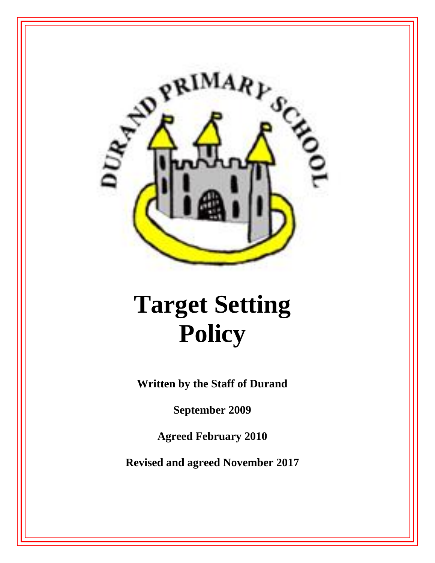

# **Target Setting Policy**

**Written by the Staff of Durand**

**September 2009**

**Agreed February 2010**

**Revised and agreed November 2017**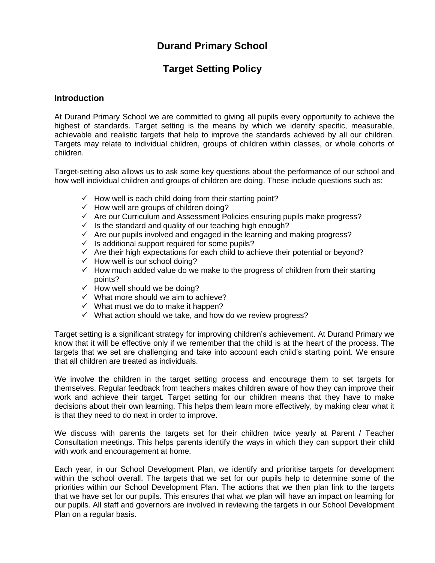# **Durand Primary School**

# **Target Setting Policy**

#### **Introduction**

At Durand Primary School we are committed to giving all pupils every opportunity to achieve the highest of standards. Target setting is the means by which we identify specific, measurable, achievable and realistic targets that help to improve the standards achieved by all our children. Targets may relate to individual children, groups of children within classes, or whole cohorts of children.

Target-setting also allows us to ask some key questions about the performance of our school and how well individual children and groups of children are doing. These include questions such as:

- $\checkmark$  How well is each child doing from their starting point?
- $\checkmark$  How well are groups of children doing?
- $\checkmark$  Are our Curriculum and Assessment Policies ensuring pupils make progress?
- $\checkmark$  Is the standard and quality of our teaching high enough?
- $\checkmark$  Are our pupils involved and engaged in the learning and making progress?
- $\checkmark$  Is additional support required for some pupils?
- $\checkmark$  Are their high expectations for each child to achieve their potential or beyond?
- $\checkmark$  How well is our school doing?
- $\checkmark$  How much added value do we make to the progress of children from their starting points?
- $\checkmark$  How well should we be doing?
- $\checkmark$  What more should we aim to achieve?
- $\checkmark$  What must we do to make it happen?
- $\checkmark$  What action should we take, and how do we review progress?

Target setting is a significant strategy for improving children's achievement. At Durand Primary we know that it will be effective only if we remember that the child is at the heart of the process. The targets that we set are challenging and take into account each child's starting point. We ensure that all children are treated as individuals.

We involve the children in the target setting process and encourage them to set targets for themselves. Regular feedback from teachers makes children aware of how they can improve their work and achieve their target. Target setting for our children means that they have to make decisions about their own learning. This helps them learn more effectively, by making clear what it is that they need to do next in order to improve.

We discuss with parents the targets set for their children twice yearly at Parent / Teacher Consultation meetings. This helps parents identify the ways in which they can support their child with work and encouragement at home.

Each year, in our School Development Plan, we identify and prioritise targets for development within the school overall. The targets that we set for our pupils help to determine some of the priorities within our School Development Plan. The actions that we then plan link to the targets that we have set for our pupils. This ensures that what we plan will have an impact on learning for our pupils. All staff and governors are involved in reviewing the targets in our School Development Plan on a regular basis.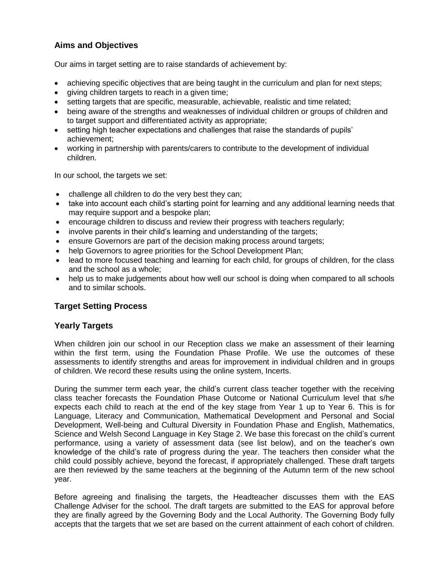# **Aims and Objectives**

Our aims in target setting are to raise standards of achievement by:

- achieving specific objectives that are being taught in the curriculum and plan for next steps;
- giving children targets to reach in a given time;
- setting targets that are specific, measurable, achievable, realistic and time related;
- being aware of the strengths and weaknesses of individual children or groups of children and to target support and differentiated activity as appropriate;
- setting high teacher expectations and challenges that raise the standards of pupils' achievement;
- working in partnership with parents/carers to contribute to the development of individual children.

In our school, the targets we set:

- challenge all children to do the very best they can;
- take into account each child's starting point for learning and any additional learning needs that may require support and a bespoke plan;
- encourage children to discuss and review their progress with teachers regularly;
- involve parents in their child's learning and understanding of the targets;
- ensure Governors are part of the decision making process around targets;
- help Governors to agree priorities for the School Development Plan;
- lead to more focused teaching and learning for each child, for groups of children, for the class and the school as a whole;
- help us to make judgements about how well our school is doing when compared to all schools and to similar schools.

## **Target Setting Process**

## **Yearly Targets**

When children join our school in our Reception class we make an assessment of their learning within the first term, using the Foundation Phase Profile. We use the outcomes of these assessments to identify strengths and areas for improvement in individual children and in groups of children. We record these results using the online system, Incerts.

During the summer term each year, the child's current class teacher together with the receiving class teacher forecasts the Foundation Phase Outcome or National Curriculum level that s/he expects each child to reach at the end of the key stage from Year 1 up to Year 6. This is for Language, Literacy and Communication, Mathematical Development and Personal and Social Development, Well-being and Cultural Diversity in Foundation Phase and English, Mathematics, Science and Welsh Second Language in Key Stage 2. We base this forecast on the child's current performance, using a variety of assessment data (see list below), and on the teacher's own knowledge of the child's rate of progress during the year. The teachers then consider what the child could possibly achieve, beyond the forecast, if appropriately challenged. These draft targets are then reviewed by the same teachers at the beginning of the Autumn term of the new school year.

Before agreeing and finalising the targets, the Headteacher discusses them with the EAS Challenge Adviser for the school. The draft targets are submitted to the EAS for approval before they are finally agreed by the Governing Body and the Local Authority. The Governing Body fully accepts that the targets that we set are based on the current attainment of each cohort of children.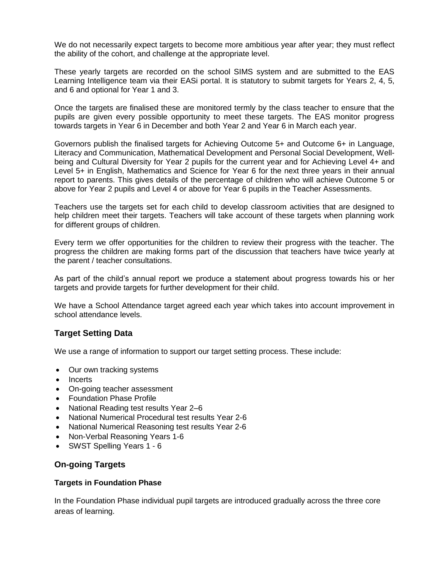We do not necessarily expect targets to become more ambitious year after year; they must reflect the ability of the cohort, and challenge at the appropriate level.

These yearly targets are recorded on the school SIMS system and are submitted to the EAS Learning Intelligence team via their EASi portal. It is statutory to submit targets for Years 2, 4, 5, and 6 and optional for Year 1 and 3.

Once the targets are finalised these are monitored termly by the class teacher to ensure that the pupils are given every possible opportunity to meet these targets. The EAS monitor progress towards targets in Year 6 in December and both Year 2 and Year 6 in March each year.

Governors publish the finalised targets for Achieving Outcome 5+ and Outcome 6+ in Language, Literacy and Communication, Mathematical Development and Personal Social Development, Wellbeing and Cultural Diversity for Year 2 pupils for the current year and for Achieving Level 4+ and Level 5+ in English, Mathematics and Science for Year 6 for the next three years in their annual report to parents. This gives details of the percentage of children who will achieve Outcome 5 or above for Year 2 pupils and Level 4 or above for Year 6 pupils in the Teacher Assessments.

Teachers use the targets set for each child to develop classroom activities that are designed to help children meet their targets. Teachers will take account of these targets when planning work for different groups of children.

Every term we offer opportunities for the children to review their progress with the teacher. The progress the children are making forms part of the discussion that teachers have twice yearly at the parent / teacher consultations.

As part of the child's annual report we produce a statement about progress towards his or her targets and provide targets for further development for their child.

We have a School Attendance target agreed each year which takes into account improvement in school attendance levels.

## **Target Setting Data**

We use a range of information to support our target setting process. These include:

- Our own tracking systems
- Incerts
- On-going teacher assessment
- Foundation Phase Profile
- National Reading test results Year 2–6
- National Numerical Procedural test results Year 2-6
- National Numerical Reasoning test results Year 2-6
- Non-Verbal Reasoning Years 1-6
- SWST Spelling Years 1 6

## **On-going Targets**

#### **Targets in Foundation Phase**

In the Foundation Phase individual pupil targets are introduced gradually across the three core areas of learning.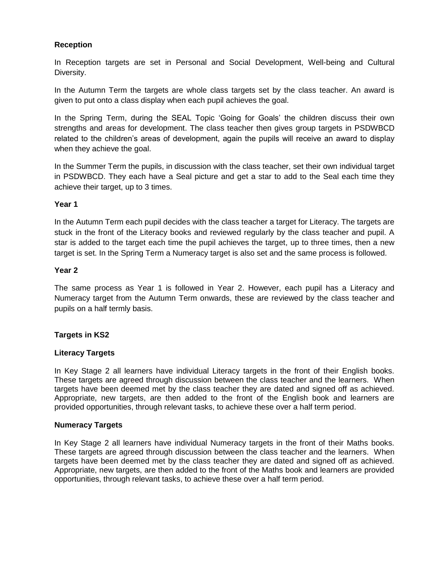#### **Reception**

In Reception targets are set in Personal and Social Development, Well-being and Cultural Diversity.

In the Autumn Term the targets are whole class targets set by the class teacher. An award is given to put onto a class display when each pupil achieves the goal.

In the Spring Term, during the SEAL Topic 'Going for Goals' the children discuss their own strengths and areas for development. The class teacher then gives group targets in PSDWBCD related to the children's areas of development, again the pupils will receive an award to display when they achieve the goal.

In the Summer Term the pupils, in discussion with the class teacher, set their own individual target in PSDWBCD. They each have a Seal picture and get a star to add to the Seal each time they achieve their target, up to 3 times.

#### **Year 1**

In the Autumn Term each pupil decides with the class teacher a target for Literacy. The targets are stuck in the front of the Literacy books and reviewed regularly by the class teacher and pupil. A star is added to the target each time the pupil achieves the target, up to three times, then a new target is set. In the Spring Term a Numeracy target is also set and the same process is followed.

#### **Year 2**

The same process as Year 1 is followed in Year 2. However, each pupil has a Literacy and Numeracy target from the Autumn Term onwards, these are reviewed by the class teacher and pupils on a half termly basis.

#### **Targets in KS2**

#### **Literacy Targets**

In Key Stage 2 all learners have individual Literacy targets in the front of their English books. These targets are agreed through discussion between the class teacher and the learners. When targets have been deemed met by the class teacher they are dated and signed off as achieved. Appropriate, new targets, are then added to the front of the English book and learners are provided opportunities, through relevant tasks, to achieve these over a half term period.

#### **Numeracy Targets**

In Key Stage 2 all learners have individual Numeracy targets in the front of their Maths books. These targets are agreed through discussion between the class teacher and the learners. When targets have been deemed met by the class teacher they are dated and signed off as achieved. Appropriate, new targets, are then added to the front of the Maths book and learners are provided opportunities, through relevant tasks, to achieve these over a half term period.